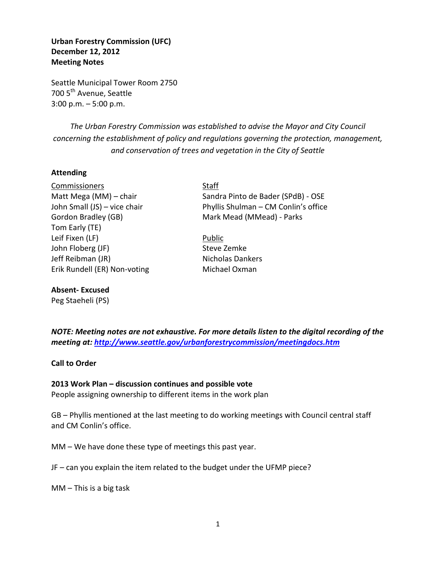**Urban Forestry Commission (UFC) December 12, 2012 Meeting Notes** 

Seattle Municipal Tower Room 2750 700 5<sup>th</sup> Avenue, Seattle 3:00 p.m. – 5:00 p.m.

*The Urban Forestry Commission was established to advise the Mayor and City Council concerning the establishment of policy and regulations governing the protection, management, and conservation of trees and vegetation in the City of Seattle*

### **Attending**

Commissioners Staff Gordon Bradley (GB) Mark Mead (MMead) - Parks Tom Early (TE) Leif Fixen (LF) Public John Floberg (JF) Steve Zemke Jeff Reibman (JR) Nicholas Dankers Erik Rundell (ER) Non-voting Michael Oxman

### **Absent- Excused**

Peg Staeheli (PS)

Matt Mega (MM) – chair Sandra Pinto de Bader (SPdB) - OSE John Small (JS) – vice chair Phyllis Shulman – CM Conlin's office

*NOTE: Meeting notes are not exhaustive. For more details listen to the digital recording of the meeting at:<http://www.seattle.gov/urbanforestrycommission/meetingdocs.htm>*

**Call to Order**

### **2013 Work Plan – discussion continues and possible vote**

People assigning ownership to different items in the work plan

GB – Phyllis mentioned at the last meeting to do working meetings with Council central staff and CM Conlin's office.

MM – We have done these type of meetings this past year.

JF – can you explain the item related to the budget under the UFMP piece?

MM – This is a big task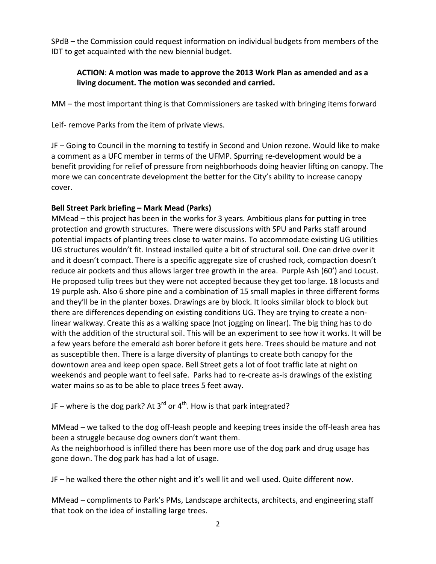SPdB – the Commission could request information on individual budgets from members of the IDT to get acquainted with the new biennial budget.

### **ACTION**: **A motion was made to approve the 2013 Work Plan as amended and as a living document. The motion was seconded and carried.**

MM – the most important thing is that Commissioners are tasked with bringing items forward

Leif- remove Parks from the item of private views.

JF – Going to Council in the morning to testify in Second and Union rezone. Would like to make a comment as a UFC member in terms of the UFMP. Spurring re-development would be a benefit providing for relief of pressure from neighborhoods doing heavier lifting on canopy. The more we can concentrate development the better for the City's ability to increase canopy cover.

## **Bell Street Park briefing – Mark Mead (Parks)**

MMead – this project has been in the works for 3 years. Ambitious plans for putting in tree protection and growth structures. There were discussions with SPU and Parks staff around potential impacts of planting trees close to water mains. To accommodate existing UG utilities UG structures wouldn't fit. Instead installed quite a bit of structural soil. One can drive over it and it doesn't compact. There is a specific aggregate size of crushed rock, compaction doesn't reduce air pockets and thus allows larger tree growth in the area. Purple Ash (60') and Locust. He proposed tulip trees but they were not accepted because they get too large. 18 locusts and 19 purple ash. Also 6 shore pine and a combination of 15 small maples in three different forms and they'll be in the planter boxes. Drawings are by block. It looks similar block to block but there are differences depending on existing conditions UG. They are trying to create a nonlinear walkway. Create this as a walking space (not jogging on linear). The big thing has to do with the addition of the structural soil. This will be an experiment to see how it works. It will be a few years before the emerald ash borer before it gets here. Trees should be mature and not as susceptible then. There is a large diversity of plantings to create both canopy for the downtown area and keep open space. Bell Street gets a lot of foot traffic late at night on weekends and people want to feel safe. Parks had to re-create as-is drawings of the existing water mains so as to be able to place trees 5 feet away.

JF – where is the dog park? At  $3^{rd}$  or  $4^{th}$ . How is that park integrated?

MMead – we talked to the dog off-leash people and keeping trees inside the off-leash area has been a struggle because dog owners don't want them.

As the neighborhood is infilled there has been more use of the dog park and drug usage has gone down. The dog park has had a lot of usage.

JF – he walked there the other night and it's well lit and well used. Quite different now.

MMead – compliments to Park's PMs, Landscape architects, architects, and engineering staff that took on the idea of installing large trees.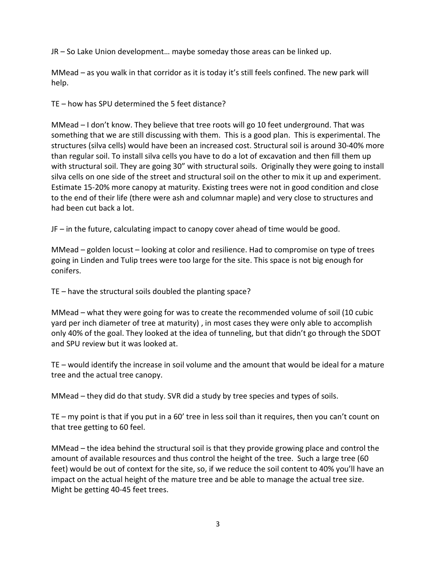JR – So Lake Union development… maybe someday those areas can be linked up.

MMead – as you walk in that corridor as it is today it's still feels confined. The new park will help.

TE – how has SPU determined the 5 feet distance?

MMead – I don't know. They believe that tree roots will go 10 feet underground. That was something that we are still discussing with them. This is a good plan. This is experimental. The structures (silva cells) would have been an increased cost. Structural soil is around 30-40% more than regular soil. To install silva cells you have to do a lot of excavation and then fill them up with structural soil. They are going 30" with structural soils. Originally they were going to install silva cells on one side of the street and structural soil on the other to mix it up and experiment. Estimate 15-20% more canopy at maturity. Existing trees were not in good condition and close to the end of their life (there were ash and columnar maple) and very close to structures and had been cut back a lot.

JF – in the future, calculating impact to canopy cover ahead of time would be good.

MMead – golden locust – looking at color and resilience. Had to compromise on type of trees going in Linden and Tulip trees were too large for the site. This space is not big enough for conifers.

TE – have the structural soils doubled the planting space?

MMead – what they were going for was to create the recommended volume of soil (10 cubic yard per inch diameter of tree at maturity) , in most cases they were only able to accomplish only 40% of the goal. They looked at the idea of tunneling, but that didn't go through the SDOT and SPU review but it was looked at.

TE – would identify the increase in soil volume and the amount that would be ideal for a mature tree and the actual tree canopy.

MMead – they did do that study. SVR did a study by tree species and types of soils.

TE – my point is that if you put in a 60' tree in less soil than it requires, then you can't count on that tree getting to 60 feel.

MMead – the idea behind the structural soil is that they provide growing place and control the amount of available resources and thus control the height of the tree. Such a large tree (60 feet) would be out of context for the site, so, if we reduce the soil content to 40% you'll have an impact on the actual height of the mature tree and be able to manage the actual tree size. Might be getting 40-45 feet trees.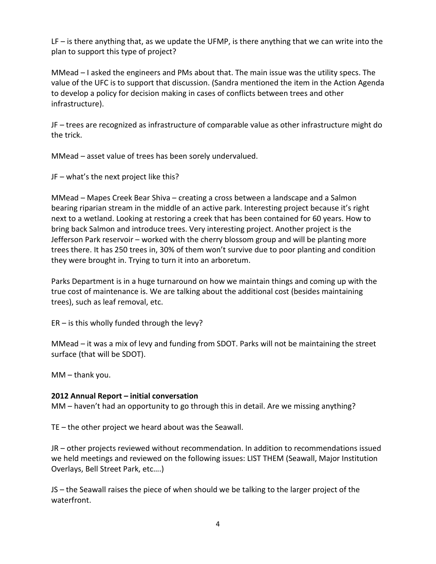LF – is there anything that, as we update the UFMP, is there anything that we can write into the plan to support this type of project?

MMead – I asked the engineers and PMs about that. The main issue was the utility specs. The value of the UFC is to support that discussion. (Sandra mentioned the item in the Action Agenda to develop a policy for decision making in cases of conflicts between trees and other infrastructure).

JF – trees are recognized as infrastructure of comparable value as other infrastructure might do the trick.

MMead – asset value of trees has been sorely undervalued.

JF – what's the next project like this?

MMead – Mapes Creek Bear Shiva – creating a cross between a landscape and a Salmon bearing riparian stream in the middle of an active park. Interesting project because it's right next to a wetland. Looking at restoring a creek that has been contained for 60 years. How to bring back Salmon and introduce trees. Very interesting project. Another project is the Jefferson Park reservoir – worked with the cherry blossom group and will be planting more trees there. It has 250 trees in, 30% of them won't survive due to poor planting and condition they were brought in. Trying to turn it into an arboretum.

Parks Department is in a huge turnaround on how we maintain things and coming up with the true cost of maintenance is. We are talking about the additional cost (besides maintaining trees), such as leaf removal, etc.

ER – is this wholly funded through the levy?

MMead – it was a mix of levy and funding from SDOT. Parks will not be maintaining the street surface (that will be SDOT).

MM – thank you.

# **2012 Annual Report – initial conversation**

MM – haven't had an opportunity to go through this in detail. Are we missing anything?

TE – the other project we heard about was the Seawall.

JR – other projects reviewed without recommendation. In addition to recommendations issued we held meetings and reviewed on the following issues: LIST THEM (Seawall, Major Institution Overlays, Bell Street Park, etc….)

JS – the Seawall raises the piece of when should we be talking to the larger project of the waterfront.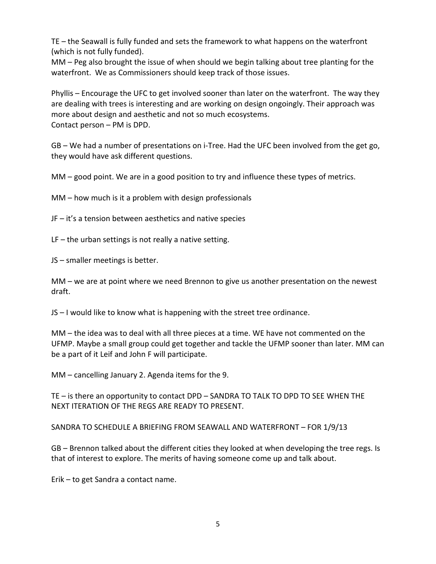TE – the Seawall is fully funded and sets the framework to what happens on the waterfront (which is not fully funded).

MM – Peg also brought the issue of when should we begin talking about tree planting for the waterfront. We as Commissioners should keep track of those issues.

Phyllis – Encourage the UFC to get involved sooner than later on the waterfront. The way they are dealing with trees is interesting and are working on design ongoingly. Their approach was more about design and aesthetic and not so much ecosystems. Contact person – PM is DPD.

GB – We had a number of presentations on i-Tree. Had the UFC been involved from the get go, they would have ask different questions.

MM – good point. We are in a good position to try and influence these types of metrics.

MM – how much is it a problem with design professionals

JF – it's a tension between aesthetics and native species

LF – the urban settings is not really a native setting.

JS – smaller meetings is better.

MM – we are at point where we need Brennon to give us another presentation on the newest draft.

JS – I would like to know what is happening with the street tree ordinance.

MM – the idea was to deal with all three pieces at a time. WE have not commented on the UFMP. Maybe a small group could get together and tackle the UFMP sooner than later. MM can be a part of it Leif and John F will participate.

MM – cancelling January 2. Agenda items for the 9.

TE – is there an opportunity to contact DPD – SANDRA TO TALK TO DPD TO SEE WHEN THE NEXT ITERATION OF THE REGS ARE READY TO PRESENT.

SANDRA TO SCHEDULE A BRIEFING FROM SEAWALL AND WATERFRONT – FOR 1/9/13

GB – Brennon talked about the different cities they looked at when developing the tree regs. Is that of interest to explore. The merits of having someone come up and talk about.

Erik – to get Sandra a contact name.